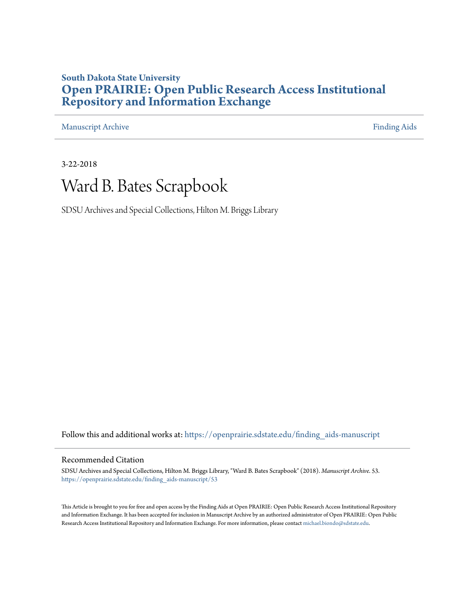#### **South Dakota State University [Open PRAIRIE: Open Public Research Access Institutional](https://openprairie.sdstate.edu?utm_source=openprairie.sdstate.edu%2Ffinding_aids-manuscript%2F53&utm_medium=PDF&utm_campaign=PDFCoverPages) [Repository and Information Exchange](https://openprairie.sdstate.edu?utm_source=openprairie.sdstate.edu%2Ffinding_aids-manuscript%2F53&utm_medium=PDF&utm_campaign=PDFCoverPages)**

[Manuscript Archive](https://openprairie.sdstate.edu/finding_aids-manuscript?utm_source=openprairie.sdstate.edu%2Ffinding_aids-manuscript%2F53&utm_medium=PDF&utm_campaign=PDFCoverPages) **[Finding Aids](https://openprairie.sdstate.edu/finding_aids?utm_source=openprairie.sdstate.edu%2Ffinding_aids-manuscript%2F53&utm_medium=PDF&utm_campaign=PDFCoverPages) Finding Aids** 

3-22-2018

## Ward B. Bates Scrapbook

SDSU Archives and Special Collections, Hilton M. Briggs Library

Follow this and additional works at: [https://openprairie.sdstate.edu/finding\\_aids-manuscript](https://openprairie.sdstate.edu/finding_aids-manuscript?utm_source=openprairie.sdstate.edu%2Ffinding_aids-manuscript%2F53&utm_medium=PDF&utm_campaign=PDFCoverPages)

#### Recommended Citation

SDSU Archives and Special Collections, Hilton M. Briggs Library, "Ward B. Bates Scrapbook" (2018). *Manuscript Archive*. 53. [https://openprairie.sdstate.edu/finding\\_aids-manuscript/53](https://openprairie.sdstate.edu/finding_aids-manuscript/53?utm_source=openprairie.sdstate.edu%2Ffinding_aids-manuscript%2F53&utm_medium=PDF&utm_campaign=PDFCoverPages)

This Article is brought to you for free and open access by the Finding Aids at Open PRAIRIE: Open Public Research Access Institutional Repository and Information Exchange. It has been accepted for inclusion in Manuscript Archive by an authorized administrator of Open PRAIRIE: Open Public Research Access Institutional Repository and Information Exchange. For more information, please contact [michael.biondo@sdstate.edu.](mailto:michael.biondo@sdstate.edu)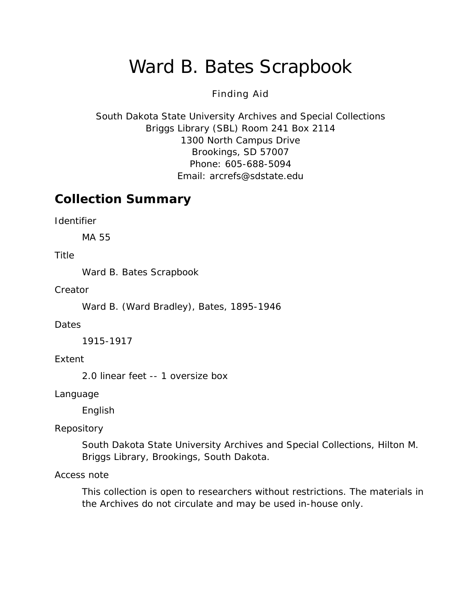# Ward B. Bates Scrapbook

#### Finding Aid

South Dakota State University Archives and Special Collections Briggs Library (SBL) Room 241 Box 2114 1300 North Campus Drive Brookings, SD 57007 Phone: 605-688-5094 Email: [arcrefs@sdstate.edu](mailto:arcrefs@sdstate.edu)

### **Collection Summary**

*Identifier*

MA 55

*Title*

Ward B. Bates Scrapbook

*Creator*

Ward B. (Ward Bradley), Bates, 1895-1946

#### *Dates*

1915-1917

*Extent*

2.0 linear feet -- 1 oversize box

*Language*

English

#### *Repository*

South Dakota State University Archives and Special Collections, Hilton M. Briggs Library, Brookings, South Dakota.

#### *Access note*

This collection is open to researchers without restrictions. The materials in the Archives do not circulate and may be used in-house only.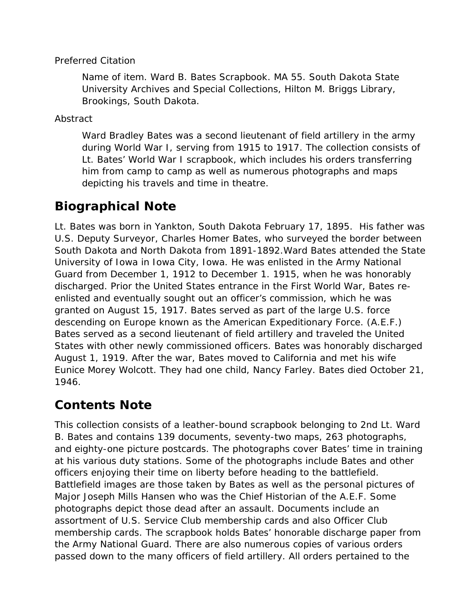#### *Preferred Citation*

*Name of item*. Ward B. Bates Scrapbook. MA 55. South Dakota State University Archives and Special Collections, Hilton M. Briggs Library, Brookings, South Dakota.

*Abstract*

Ward Bradley Bates was a second lieutenant of field artillery in the army during World War I, serving from 1915 to 1917. The collection consists of Lt. Bates' World War I scrapbook, which includes his orders transferring him from camp to camp as well as numerous photographs and maps depicting his travels and time in theatre.

### **Biographical Note**

Lt. Bates was born in Yankton, South Dakota February 17, 1895. His father was U.S. Deputy Surveyor, Charles Homer Bates, who surveyed the border between South Dakota and North Dakota from 1891-1892.Ward Bates attended the State University of Iowa in Iowa City, Iowa. He was enlisted in the Army National Guard from December 1, 1912 to December 1. 1915, when he was honorably discharged. Prior the United States entrance in the First World War, Bates reenlisted and eventually sought out an officer's commission, which he was granted on August 15, 1917. Bates served as part of the large U.S. force descending on Europe known as the American Expeditionary Force. (A.E.F.) Bates served as a second lieutenant of field artillery and traveled the United States with other newly commissioned officers. Bates was honorably discharged August 1, 1919. After the war, Bates moved to California and met his wife Eunice Morey Wolcott. They had one child, Nancy Farley. Bates died October 21, 1946.

### **Contents Note**

This collection consists of a leather-bound scrapbook belonging to 2nd Lt. Ward B. Bates and contains 139 documents, seventy-two maps, 263 photographs, and eighty-one picture postcards. The photographs cover Bates' time in training at his various duty stations. Some of the photographs include Bates and other officers enjoying their time on liberty before heading to the battlefield. Battlefield images are those taken by Bates as well as the personal pictures of Major Joseph Mills Hansen who was the Chief Historian of the A.E.F. Some photographs depict those dead after an assault. Documents include an assortment of U.S. Service Club membership cards and also Officer Club membership cards. The scrapbook holds Bates' honorable discharge paper from the Army National Guard. There are also numerous copies of various orders passed down to the many officers of field artillery. All orders pertained to the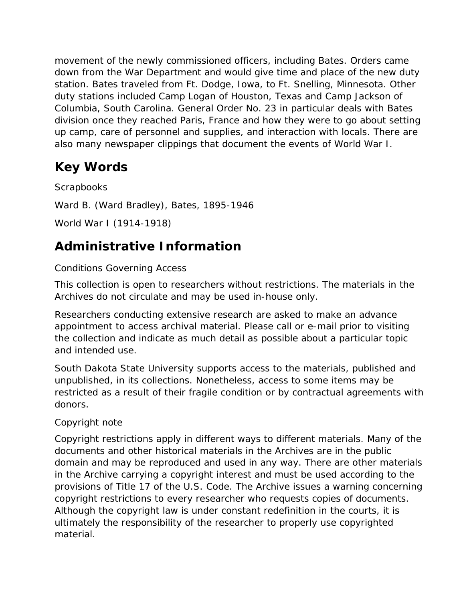movement of the newly commissioned officers, including Bates. Orders came down from the War Department and would give time and place of the new duty station. Bates traveled from Ft. Dodge, Iowa, to Ft. Snelling, Minnesota. Other duty stations included Camp Logan of Houston, Texas and Camp Jackson of Columbia, South Carolina. General Order No. 23 in particular deals with Bates division once they reached Paris, France and how they were to go about setting up camp, care of personnel and supplies, and interaction with locals. There are also many newspaper clippings that document the events of World War I.

### **Key Words**

**Scrapbooks** Ward B. (Ward Bradley), Bates, 1895-1946 World War I (1914-1918)

## **Administrative Information**

### *Conditions Governing Access*

This collection is open to researchers without restrictions. The materials in the Archives do not circulate and may be used in-house only.

Researchers conducting extensive research are asked to make an advance appointment to access archival material. Please call or e-mail prior to visiting the collection and indicate as much detail as possible about a particular topic and intended use.

South Dakota State University supports access to the materials, published and unpublished, in its collections. Nonetheless, access to some items may be restricted as a result of their fragile condition or by contractual agreements with donors.

### *Copyright note*

Copyright restrictions apply in different ways to different materials. Many of the documents and other historical materials in the Archives are in the public domain and may be reproduced and used in any way. There are other materials in the Archive carrying a copyright interest and must be used according to the provisions of Title 17 of the U.S. Code. The Archive issues a warning concerning copyright restrictions to every researcher who requests copies of documents. Although the copyright law is under constant redefinition in the courts, it is ultimately the responsibility of the researcher to properly use copyrighted material.